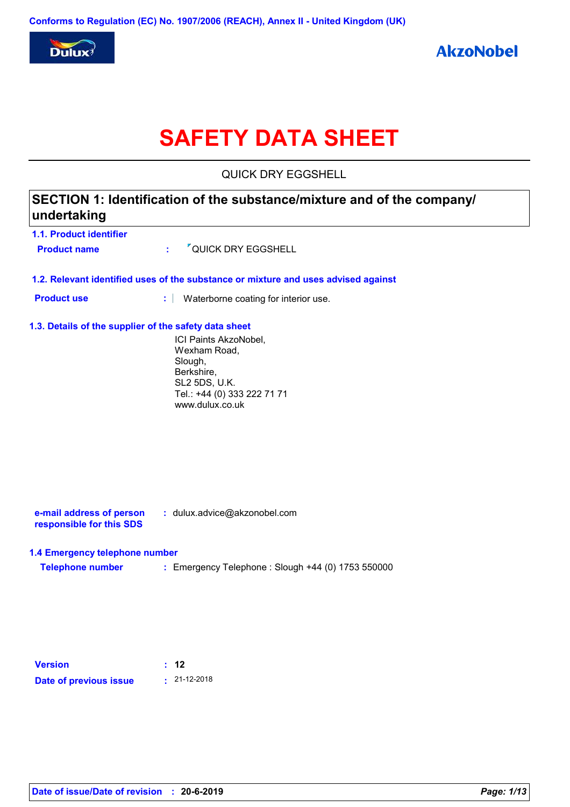

# **SAFETY DATA SHEET**

QUICK DRY EGGSHELL

| 1.1. Product identifier                               |                                                                                                                                   |
|-------------------------------------------------------|-----------------------------------------------------------------------------------------------------------------------------------|
| <b>Product name</b>                                   | <sup>7</sup> QUICK DRY EGGSHELL<br>÷.                                                                                             |
|                                                       | 1.2. Relevant identified uses of the substance or mixture and uses advised against                                                |
| <b>Product use</b>                                    | t.<br>Waterborne coating for interior use.                                                                                        |
| 1.3. Details of the supplier of the safety data sheet |                                                                                                                                   |
|                                                       | ICI Paints AkzoNobel,<br>Wexham Road,<br>Slough,<br>Berkshire,<br>SL2 5DS, U.K.<br>Tel.: +44 (0) 333 222 71 71<br>www.dulux.co.uk |
| e-mail address of person<br>responsible for this SDS  | : dulux.advice@akzonobel.com                                                                                                      |
|                                                       |                                                                                                                                   |
| 1.4 Emergency telephone number                        |                                                                                                                                   |
| <b>Telephone number</b>                               | : Emergency Telephone : Slough +44 (0) 1753 550000                                                                                |
|                                                       | : 12                                                                                                                              |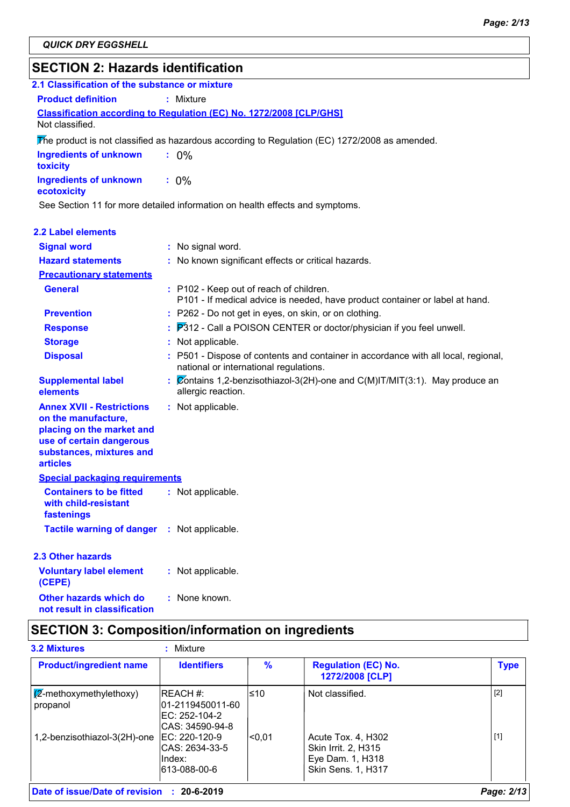# **SECTION 2: Hazards identification**

| SECTION 2. Hazarus Iuentincation                                                                                                                                |                                                                                                                              |
|-----------------------------------------------------------------------------------------------------------------------------------------------------------------|------------------------------------------------------------------------------------------------------------------------------|
| 2.1 Classification of the substance or mixture                                                                                                                  |                                                                                                                              |
| <b>Product definition</b>                                                                                                                                       | : Mixture                                                                                                                    |
| Not classified.                                                                                                                                                 | Classification according to Regulation (EC) No. 1272/2008 [CLP/GHS]                                                          |
|                                                                                                                                                                 | The product is not classified as hazardous according to Regulation (EC) $1272/2008$ as amended.                              |
| <b>Ingredients of unknown</b><br>toxicity                                                                                                                       | $: 0\%$                                                                                                                      |
| <b>Ingredients of unknown</b><br>ecotoxicity                                                                                                                    | $: 0\%$                                                                                                                      |
|                                                                                                                                                                 | See Section 11 for more detailed information on health effects and symptoms.                                                 |
| <b>2.2 Label elements</b>                                                                                                                                       |                                                                                                                              |
| <b>Signal word</b>                                                                                                                                              | : No signal word.                                                                                                            |
| <b>Hazard statements</b>                                                                                                                                        | : No known significant effects or critical hazards.                                                                          |
| <b>Precautionary statements</b>                                                                                                                                 |                                                                                                                              |
| <b>General</b>                                                                                                                                                  | : P102 - Keep out of reach of children.<br>P101 - If medical advice is needed, have product container or label at hand.      |
| <b>Prevention</b>                                                                                                                                               | : P262 - Do not get in eyes, on skin, or on clothing.                                                                        |
| <b>Response</b>                                                                                                                                                 | P312 - Call a POISON CENTER or doctor/physician if you feel unwell.                                                          |
| <b>Storage</b>                                                                                                                                                  | : Not applicable.                                                                                                            |
| <b>Disposal</b>                                                                                                                                                 | : P501 - Dispose of contents and container in accordance with all local, regional,<br>national or international regulations. |
| <b>Supplemental label</b><br>elements                                                                                                                           | Contains 1,2-benzisothiazol-3(2H)-one and $C(M)$ IT/MIT(3:1). May produce an<br>allergic reaction.                           |
| <b>Annex XVII - Restrictions</b><br>on the manufacture,<br>placing on the market and<br>use of certain dangerous<br>substances, mixtures and<br><b>articles</b> | : Not applicable.                                                                                                            |
| <b>Special packaging requirements</b>                                                                                                                           |                                                                                                                              |
| <b>Containers to be fitted</b><br>with child-resistant<br>fastenings                                                                                            | : Not applicable.                                                                                                            |
| <b>Tactile warning of danger</b>                                                                                                                                | : Not applicable.                                                                                                            |
| 2.3 Other hazards                                                                                                                                               |                                                                                                                              |
| <b>Voluntary label element</b><br>(CEPE)                                                                                                                        | : Not applicable.                                                                                                            |

# **SECTION 3: Composition/information on ingredients**

: None known.

**Other hazards which do : not result in classification**

| <b>Product/ingredient name</b>               | <b>Identifiers</b>                                                   | $\frac{9}{6}$   | <b>Regulation (EC) No.</b><br>1272/2008 [CLP]                                              | <b>Type</b> |
|----------------------------------------------|----------------------------------------------------------------------|-----------------|--------------------------------------------------------------------------------------------|-------------|
| $\sqrt{2}$ -methoxymethylethoxy)<br>propanol | IREACH #:<br>l01-2119450011-60<br>IEC: 252-104-2<br>ICAS: 34590-94-8 | l≤10            | Not classified.                                                                            | $[2]$       |
| 1,2-benzisothiazol-3(2H)-one                 | IEC: 220-120-9<br>ICAS: 2634-33-5<br>lIndex:<br>613-088-00-6         | <sub>0.01</sub> | Acute Tox. 4, H302<br>Skin Irrit. 2, H315<br>Eye Dam. 1, H318<br><b>Skin Sens. 1, H317</b> | $[1]$       |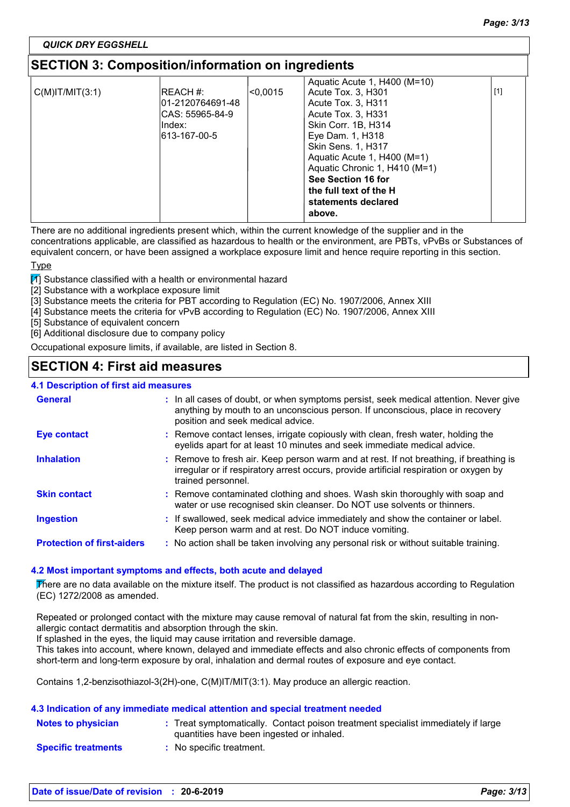### *QUICK DRY EGGSHELL*

# **SECTION 3: Composition/information on ingredients**

| $C(M)$ IT/MIT $(3:1)$ | <b>IREACH #:</b><br>l01-2120764691-48<br>ICAS: 55965-84-9<br>lIndex:<br>613-167-00-5 | < 0,0015 | Aquatic Acute 1, H400 (M=10)<br>Acute Tox. 3, H301<br>Acute Tox. 3, H311<br>Acute Tox. 3, H331<br>Skin Corr. 1B, H314<br>Eye Dam. 1, H318<br>Skin Sens. 1, H317<br>Aquatic Acute 1, H400 (M=1)<br>Aquatic Chronic 1, H410 (M=1)<br>See Section 16 for<br>the full text of the H<br>statements declared<br>above. | $[1]$ |  |
|-----------------------|--------------------------------------------------------------------------------------|----------|------------------------------------------------------------------------------------------------------------------------------------------------------------------------------------------------------------------------------------------------------------------------------------------------------------------|-------|--|
|                       |                                                                                      |          |                                                                                                                                                                                                                                                                                                                  |       |  |

There are no additional ingredients present which, within the current knowledge of the supplier and in the

concentrations applicable, are classified as hazardous to health or the environment, are PBTs, vPvBs or Substances of equivalent concern, or have been assigned a workplace exposure limit and hence require reporting in this section.

#### Type

 $\boxed{1}$  Substance classified with a health or environmental hazard

- [2] Substance with a workplace exposure limit
- [3] Substance meets the criteria for PBT according to Regulation (EC) No. 1907/2006, Annex XIII
- [4] Substance meets the criteria for vPvB according to Regulation (EC) No. 1907/2006, Annex XIII
- [5] Substance of equivalent concern
- [6] Additional disclosure due to company policy

Occupational exposure limits, if available, are listed in Section 8.

### **SECTION 4: First aid measures**

### **4.1 Description of first aid measures**

| <b>General</b>                    | : In all cases of doubt, or when symptoms persist, seek medical attention. Never give<br>anything by mouth to an unconscious person. If unconscious, place in recovery<br>position and seek medical advice. |
|-----------------------------------|-------------------------------------------------------------------------------------------------------------------------------------------------------------------------------------------------------------|
| Eye contact                       | : Remove contact lenses, irrigate copiously with clean, fresh water, holding the<br>eyelids apart for at least 10 minutes and seek immediate medical advice.                                                |
| <b>Inhalation</b>                 | : Remove to fresh air. Keep person warm and at rest. If not breathing, if breathing is<br>irregular or if respiratory arrest occurs, provide artificial respiration or oxygen by<br>trained personnel.      |
| <b>Skin contact</b>               | : Remove contaminated clothing and shoes. Wash skin thoroughly with soap and<br>water or use recognised skin cleanser. Do NOT use solvents or thinners.                                                     |
| <b>Ingestion</b>                  | : If swallowed, seek medical advice immediately and show the container or label.<br>Keep person warm and at rest. Do NOT induce vomiting.                                                                   |
| <b>Protection of first-aiders</b> | : No action shall be taken involving any personal risk or without suitable training.                                                                                                                        |

#### **4.2 Most important symptoms and effects, both acute and delayed**

There are no data available on the mixture itself. The product is not classified as hazardous according to Regulation (EC) 1272/2008 as amended.

Repeated or prolonged contact with the mixture may cause removal of natural fat from the skin, resulting in nonallergic contact dermatitis and absorption through the skin.

If splashed in the eyes, the liquid may cause irritation and reversible damage.

This takes into account, where known, delayed and immediate effects and also chronic effects of components from short-term and long-term exposure by oral, inhalation and dermal routes of exposure and eye contact.

Contains 1,2-benzisothiazol-3(2H)-one, C(M)IT/MIT(3:1). May produce an allergic reaction.

#### **4.3 Indication of any immediate medical attention and special treatment needed**

| Notes to physician         | : Treat symptomatically. Contact poison treatment specialist immediately if large<br>quantities have been ingested or inhaled. |
|----------------------------|--------------------------------------------------------------------------------------------------------------------------------|
| <b>Specific treatments</b> | No specific treatment.                                                                                                         |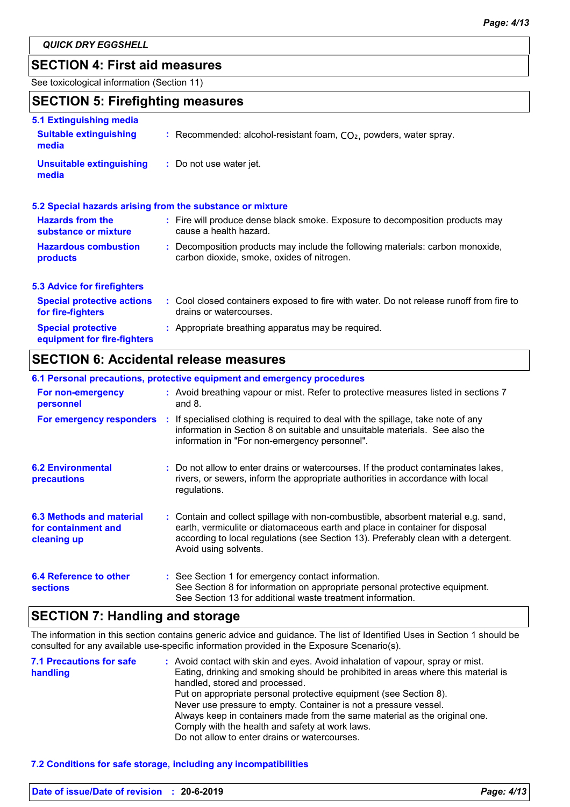### **SECTION 4: First aid measures**

See toxicological information (Section 11)

# **SECTION 5: Firefighting measures**

| 5.1 Extinguishing media                                  |                                                                                                                              |
|----------------------------------------------------------|------------------------------------------------------------------------------------------------------------------------------|
| <b>Suitable extinguishing</b><br>media                   | : Recommended: alcohol-resistant foam, $CO2$ , powders, water spray.                                                         |
| <b>Unsuitable extinguishing</b><br>media                 | : Do not use water jet.                                                                                                      |
|                                                          | 5.2 Special hazards arising from the substance or mixture                                                                    |
| <b>Hazards from the</b><br>substance or mixture          | : Fire will produce dense black smoke. Exposure to decomposition products may<br>cause a health hazard.                      |
| <b>Hazardous combustion</b><br>products                  | : Decomposition products may include the following materials: carbon monoxide,<br>carbon dioxide, smoke, oxides of nitrogen. |
| <b>5.3 Advice for firefighters</b>                       |                                                                                                                              |
| <b>Special protective actions</b><br>for fire-fighters   | : Cool closed containers exposed to fire with water. Do not release runoff from fire to<br>drains or watercourses.           |
| <b>Special protective</b><br>equipment for fire-fighters | : Appropriate breathing apparatus may be required.                                                                           |

### **SECTION 6: Accidental release measures**

|                                                                | 6.1 Personal precautions, protective equipment and emergency procedures                                                                                                                                                                                                            |
|----------------------------------------------------------------|------------------------------------------------------------------------------------------------------------------------------------------------------------------------------------------------------------------------------------------------------------------------------------|
| For non-emergency<br>personnel                                 | : Avoid breathing vapour or mist. Refer to protective measures listed in sections 7<br>and $8.$                                                                                                                                                                                    |
|                                                                | For emergency responders : If specialised clothing is required to deal with the spillage, take note of any<br>information in Section 8 on suitable and unsuitable materials. See also the<br>information in "For non-emergency personnel".                                         |
| <b>6.2 Environmental</b><br>precautions                        | : Do not allow to enter drains or watercourses. If the product contaminates lakes,<br>rivers, or sewers, inform the appropriate authorities in accordance with local<br>regulations.                                                                                               |
| 6.3 Methods and material<br>for containment and<br>cleaning up | : Contain and collect spillage with non-combustible, absorbent material e.g. sand,<br>earth, vermiculite or diatomaceous earth and place in container for disposal<br>according to local regulations (see Section 13). Preferably clean with a detergent.<br>Avoid using solvents. |
| 6.4 Reference to other<br><b>sections</b>                      | : See Section 1 for emergency contact information.<br>See Section 8 for information on appropriate personal protective equipment.<br>See Section 13 for additional waste treatment information.                                                                                    |

# **SECTION 7: Handling and storage**

The information in this section contains generic advice and guidance. The list of Identified Uses in Section 1 should be consulted for any available use-specific information provided in the Exposure Scenario(s).

| <b>7.1 Precautions for safe</b><br>handling | : Avoid contact with skin and eyes. Avoid inhalation of vapour, spray or mist.<br>Eating, drinking and smoking should be prohibited in areas where this material is<br>handled, stored and processed.<br>Put on appropriate personal protective equipment (see Section 8).<br>Never use pressure to empty. Container is not a pressure vessel.<br>Always keep in containers made from the same material as the original one.<br>Comply with the health and safety at work laws. |
|---------------------------------------------|---------------------------------------------------------------------------------------------------------------------------------------------------------------------------------------------------------------------------------------------------------------------------------------------------------------------------------------------------------------------------------------------------------------------------------------------------------------------------------|
|                                             | Do not allow to enter drains or watercourses.                                                                                                                                                                                                                                                                                                                                                                                                                                   |

### **7.2 Conditions for safe storage, including any incompatibilities**

| Date of issue/Date of revision : 20-6-2019 | Page: 4/13 |
|--------------------------------------------|------------|
|                                            |            |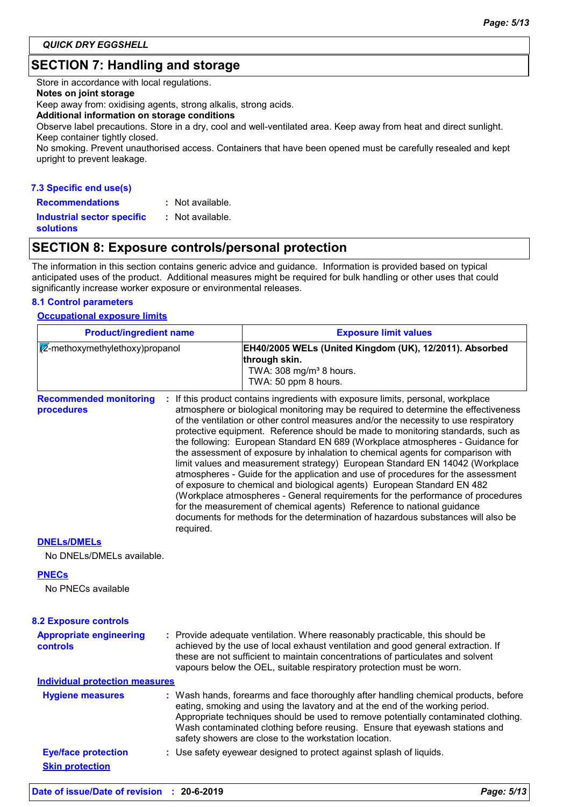# **SECTION 7: Handling and storage**

Store in accordance with local regulations.

#### **Notes on joint storage**

Keep away from: oxidising agents, strong alkalis, strong acids.

#### **Additional information on storage conditions**

Observe label precautions. Store in a dry, cool and well-ventilated area. Keep away from heat and direct sunlight. Keep container tightly closed.

No smoking. Prevent unauthorised access. Containers that have been opened must be carefully resealed and kept upright to prevent leakage.

### **7.3 Specific end use(s) Recommendations :**

: Not available.

**Industrial sector specific : solutions**

### **SECTION 8: Exposure controls/personal protection**

: Not available.

The information in this section contains generic advice and guidance. Information is provided based on typical anticipated uses of the product. Additional measures might be required for bulk handling or other uses that could significantly increase worker exposure or environmental releases.

### **8.1 Control parameters**

#### **Occupational exposure limits**

| <b>Product/ingredient name</b><br>2-methoxymethylethoxy)propanol |  |  | <b>Exposure limit values</b><br>EH40/2005 WELs (United Kingdom (UK), 12/2011). Absorbed<br>through skin.<br>TWA: 308 mg/m <sup>3</sup> 8 hours.<br>TWA: 50 ppm 8 hours.                                                                                                                                                                                                                           |  |  |
|------------------------------------------------------------------|--|--|---------------------------------------------------------------------------------------------------------------------------------------------------------------------------------------------------------------------------------------------------------------------------------------------------------------------------------------------------------------------------------------------------|--|--|
|                                                                  |  |  |                                                                                                                                                                                                                                                                                                                                                                                                   |  |  |
| <b>DNELS/DMELS</b>                                               |  |  |                                                                                                                                                                                                                                                                                                                                                                                                   |  |  |
| No DNELs/DMELs available.                                        |  |  |                                                                                                                                                                                                                                                                                                                                                                                                   |  |  |
| <b>PNECs</b>                                                     |  |  |                                                                                                                                                                                                                                                                                                                                                                                                   |  |  |
| No PNECs available                                               |  |  |                                                                                                                                                                                                                                                                                                                                                                                                   |  |  |
| <b>8.2 Exposure controls</b>                                     |  |  |                                                                                                                                                                                                                                                                                                                                                                                                   |  |  |
| <b>Appropriate engineering</b><br><b>controls</b>                |  |  | : Provide adequate ventilation. Where reasonably practicable, this should be<br>achieved by the use of local exhaust ventilation and good general extraction. If<br>these are not sufficient to maintain concentrations of particulates and solvent<br>vapours below the OEL, suitable respiratory protection must be worn.                                                                       |  |  |
| <b>Individual protection measures</b>                            |  |  |                                                                                                                                                                                                                                                                                                                                                                                                   |  |  |
| <b>Hygiene measures</b>                                          |  |  | : Wash hands, forearms and face thoroughly after handling chemical products, before<br>eating, smoking and using the lavatory and at the end of the working period.<br>Appropriate techniques should be used to remove potentially contaminated clothing.<br>Wash contaminated clothing before reusing. Ensure that eyewash stations and<br>safety showers are close to the workstation location. |  |  |
| <b>Eye/face protection</b>                                       |  |  | : Use safety eyewear designed to protect against splash of liquids.                                                                                                                                                                                                                                                                                                                               |  |  |
| <b>Skin protection</b>                                           |  |  |                                                                                                                                                                                                                                                                                                                                                                                                   |  |  |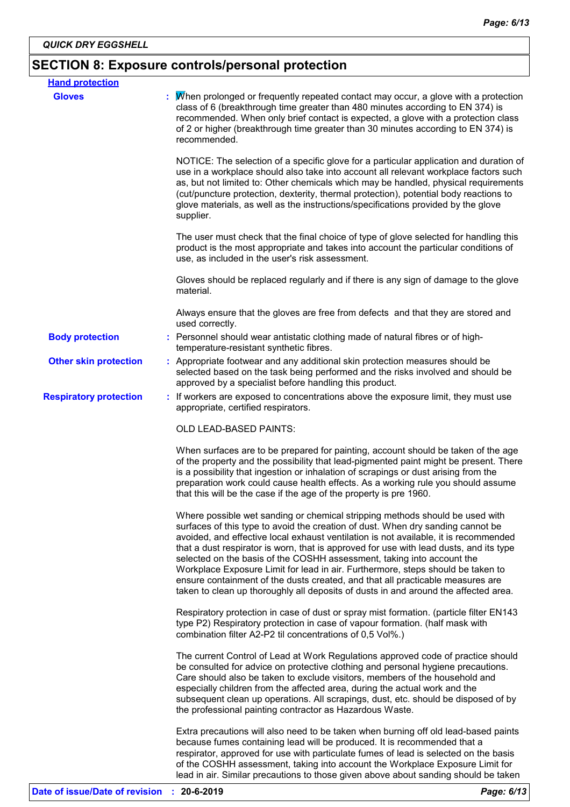# **SECTION 8: Exposure controls/personal protection**

| <b>Hand protection</b>        |                                                                                                                                                                                                                                                                                                                                                                                                                                                                                                                                                                                                                                                                                         |
|-------------------------------|-----------------------------------------------------------------------------------------------------------------------------------------------------------------------------------------------------------------------------------------------------------------------------------------------------------------------------------------------------------------------------------------------------------------------------------------------------------------------------------------------------------------------------------------------------------------------------------------------------------------------------------------------------------------------------------------|
| <b>Gloves</b>                 | When prolonged or frequently repeated contact may occur, a glove with a protection<br>class of 6 (breakthrough time greater than 480 minutes according to EN 374) is<br>recommended. When only brief contact is expected, a glove with a protection class<br>of 2 or higher (breakthrough time greater than 30 minutes according to EN 374) is<br>recommended.                                                                                                                                                                                                                                                                                                                          |
|                               | NOTICE: The selection of a specific glove for a particular application and duration of<br>use in a workplace should also take into account all relevant workplace factors such<br>as, but not limited to: Other chemicals which may be handled, physical requirements<br>(cut/puncture protection, dexterity, thermal protection), potential body reactions to<br>glove materials, as well as the instructions/specifications provided by the glove<br>supplier.                                                                                                                                                                                                                        |
|                               | The user must check that the final choice of type of glove selected for handling this<br>product is the most appropriate and takes into account the particular conditions of<br>use, as included in the user's risk assessment.                                                                                                                                                                                                                                                                                                                                                                                                                                                         |
|                               | Gloves should be replaced regularly and if there is any sign of damage to the glove<br>material.                                                                                                                                                                                                                                                                                                                                                                                                                                                                                                                                                                                        |
|                               | Always ensure that the gloves are free from defects and that they are stored and<br>used correctly.                                                                                                                                                                                                                                                                                                                                                                                                                                                                                                                                                                                     |
| <b>Body protection</b>        | : Personnel should wear antistatic clothing made of natural fibres or of high-<br>temperature-resistant synthetic fibres.                                                                                                                                                                                                                                                                                                                                                                                                                                                                                                                                                               |
| <b>Other skin protection</b>  | : Appropriate footwear and any additional skin protection measures should be<br>selected based on the task being performed and the risks involved and should be<br>approved by a specialist before handling this product.                                                                                                                                                                                                                                                                                                                                                                                                                                                               |
| <b>Respiratory protection</b> | : If workers are exposed to concentrations above the exposure limit, they must use<br>appropriate, certified respirators.                                                                                                                                                                                                                                                                                                                                                                                                                                                                                                                                                               |
|                               | <b>OLD LEAD-BASED PAINTS:</b>                                                                                                                                                                                                                                                                                                                                                                                                                                                                                                                                                                                                                                                           |
|                               | When surfaces are to be prepared for painting, account should be taken of the age<br>of the property and the possibility that lead-pigmented paint might be present. There<br>is a possibility that ingestion or inhalation of scrapings or dust arising from the<br>preparation work could cause health effects. As a working rule you should assume<br>that this will be the case if the age of the property is pre 1960.                                                                                                                                                                                                                                                             |
|                               | Where possible wet sanding or chemical stripping methods should be used with<br>surfaces of this type to avoid the creation of dust. When dry sanding cannot be<br>avoided, and effective local exhaust ventilation is not available, it is recommended<br>that a dust respirator is worn, that is approved for use with lead dusts, and its type<br>selected on the basis of the COSHH assessment, taking into account the<br>Workplace Exposure Limit for lead in air. Furthermore, steps should be taken to<br>ensure containment of the dusts created, and that all practicable measures are<br>taken to clean up thoroughly all deposits of dusts in and around the affected area. |
|                               | Respiratory protection in case of dust or spray mist formation. (particle filter EN143<br>type P2) Respiratory protection in case of vapour formation. (half mask with<br>combination filter A2-P2 til concentrations of 0,5 Vol%.)                                                                                                                                                                                                                                                                                                                                                                                                                                                     |
|                               | The current Control of Lead at Work Regulations approved code of practice should<br>be consulted for advice on protective clothing and personal hygiene precautions.<br>Care should also be taken to exclude visitors, members of the household and<br>especially children from the affected area, during the actual work and the<br>subsequent clean up operations. All scrapings, dust, etc. should be disposed of by<br>the professional painting contractor as Hazardous Waste.                                                                                                                                                                                                     |
|                               | Extra precautions will also need to be taken when burning off old lead-based paints<br>because fumes containing lead will be produced. It is recommended that a<br>respirator, approved for use with particulate fumes of lead is selected on the basis<br>of the COSHH assessment, taking into account the Workplace Exposure Limit for<br>lead in air. Similar precautions to those given above about sanding should be taken                                                                                                                                                                                                                                                         |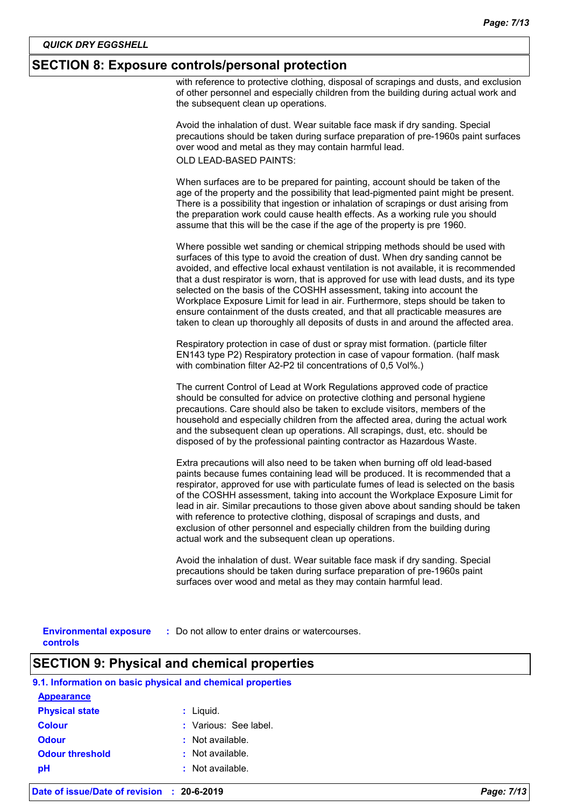### **SECTION 8: Exposure controls/personal protection**

with reference to protective clothing, disposal of scrapings and dusts, and exclusion of other personnel and especially children from the building during actual work and the subsequent clean up operations.

Avoid the inhalation of dust. Wear suitable face mask if dry sanding. Special precautions should be taken during surface preparation of pre-1960s paint surfaces over wood and metal as they may contain harmful lead. OLD LEAD-BASED PAINTS:

When surfaces are to be prepared for painting, account should be taken of the age of the property and the possibility that lead-pigmented paint might be present. There is a possibility that ingestion or inhalation of scrapings or dust arising from the preparation work could cause health effects. As a working rule you should assume that this will be the case if the age of the property is pre 1960.

Where possible wet sanding or chemical stripping methods should be used with surfaces of this type to avoid the creation of dust. When dry sanding cannot be avoided, and effective local exhaust ventilation is not available, it is recommended that a dust respirator is worn, that is approved for use with lead dusts, and its type selected on the basis of the COSHH assessment, taking into account the Workplace Exposure Limit for lead in air. Furthermore, steps should be taken to ensure containment of the dusts created, and that all practicable measures are taken to clean up thoroughly all deposits of dusts in and around the affected area.

Respiratory protection in case of dust or spray mist formation. (particle filter EN143 type P2) Respiratory protection in case of vapour formation. (half mask with combination filter A2-P2 til concentrations of 0,5 Vol%.)

The current Control of Lead at Work Regulations approved code of practice should be consulted for advice on protective clothing and personal hygiene precautions. Care should also be taken to exclude visitors, members of the household and especially children from the affected area, during the actual work and the subsequent clean up operations. All scrapings, dust, etc. should be disposed of by the professional painting contractor as Hazardous Waste.

Extra precautions will also need to be taken when burning off old lead-based paints because fumes containing lead will be produced. It is recommended that a respirator, approved for use with particulate fumes of lead is selected on the basis of the COSHH assessment, taking into account the Workplace Exposure Limit for lead in air. Similar precautions to those given above about sanding should be taken with reference to protective clothing, disposal of scrapings and dusts, and exclusion of other personnel and especially children from the building during actual work and the subsequent clean up operations.

Avoid the inhalation of dust. Wear suitable face mask if dry sanding. Special precautions should be taken during surface preparation of pre-1960s paint surfaces over wood and metal as they may contain harmful lead.

| <b>Environmental exposure</b> | : Do not allow to enter drains or watercourses |
|-------------------------------|------------------------------------------------|
| controls                      |                                                |

### **SECTION 9: Physical and chemical properties**

| 9.1. Information on basic physical and chemical properties |                       |  |  |  |
|------------------------------------------------------------|-----------------------|--|--|--|
| <b>Appearance</b>                                          |                       |  |  |  |
| <b>Physical state</b>                                      | $:$ Liquid.           |  |  |  |
| <b>Colour</b>                                              | : Various: See label. |  |  |  |
| <b>Odour</b>                                               | : Not available.      |  |  |  |
| <b>Odour threshold</b>                                     | Not available.<br>÷.  |  |  |  |
| рH                                                         | Not available.        |  |  |  |
|                                                            |                       |  |  |  |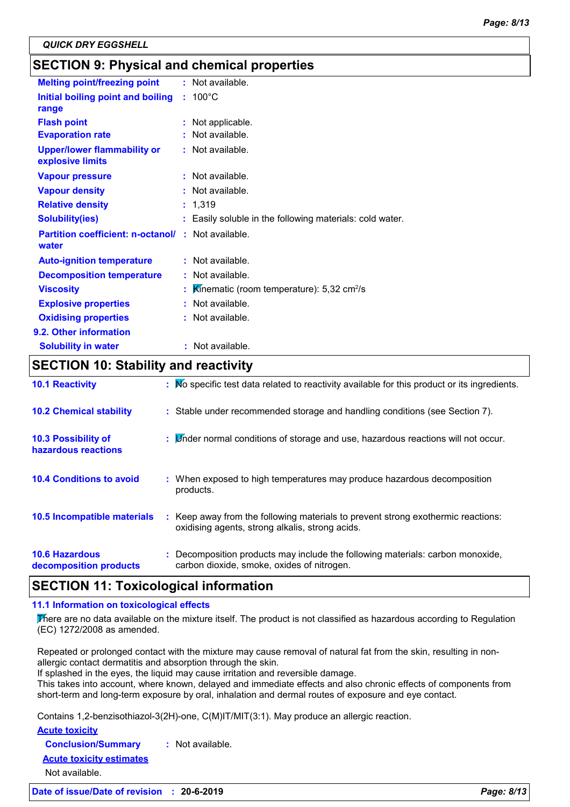# **SECTION 9: Physical and chemical properties**

| <b>Melting point/freezing point</b>                    | : Not available.                                        |
|--------------------------------------------------------|---------------------------------------------------------|
| Initial boiling point and boiling                      | $: 100^{\circ}$ C                                       |
| range                                                  |                                                         |
| <b>Flash point</b>                                     | Not applicable.                                         |
| <b>Evaporation rate</b>                                | Not available.                                          |
| <b>Upper/lower flammability or</b><br>explosive limits | : Not available.                                        |
| <b>Vapour pressure</b>                                 | : Not available.                                        |
| <b>Vapour density</b>                                  | $:$ Not available.                                      |
| <b>Relative density</b>                                | : 1,319                                                 |
| <b>Solubility(ies)</b>                                 | Easily soluble in the following materials: cold water.  |
| <b>Partition coefficient: n-octanol/</b><br>water      | : Not available.                                        |
| <b>Auto-ignition temperature</b>                       | : Not available.                                        |
| <b>Decomposition temperature</b>                       | : Not available.                                        |
| <b>Viscosity</b>                                       | Kinematic (room temperature): $5,32$ cm <sup>2</sup> /s |
| <b>Explosive properties</b>                            | : Not available.                                        |
| <b>Oxidising properties</b>                            | : Not available.                                        |
| 9.2. Other information                                 |                                                         |
| <b>Solubility in water</b>                             | : Not available.                                        |

# **SECTION 10: Stability and reactivity**

| <b>10.1 Reactivity</b>                            | : Mo specific test data related to reactivity available for this product or its ingredients.                                        |
|---------------------------------------------------|-------------------------------------------------------------------------------------------------------------------------------------|
| <b>10.2 Chemical stability</b>                    | : Stable under recommended storage and handling conditions (see Section 7).                                                         |
| <b>10.3 Possibility of</b><br>hazardous reactions | : <i>Under normal conditions of storage and use</i> , hazardous reactions will not occur.                                           |
| <b>10.4 Conditions to avoid</b>                   | : When exposed to high temperatures may produce hazardous decomposition<br>products.                                                |
| 10.5 Incompatible materials                       | : Keep away from the following materials to prevent strong exothermic reactions:<br>oxidising agents, strong alkalis, strong acids. |
| <b>10.6 Hazardous</b><br>decomposition products   | : Decomposition products may include the following materials: carbon monoxide,<br>carbon dioxide, smoke, oxides of nitrogen.        |

# **SECTION 11: Toxicological information**

#### **11.1 Information on toxicological effects**

There are no data available on the mixture itself. The product is not classified as hazardous according to Regulation (EC) 1272/2008 as amended.

Repeated or prolonged contact with the mixture may cause removal of natural fat from the skin, resulting in nonallergic contact dermatitis and absorption through the skin.

If splashed in the eyes, the liquid may cause irritation and reversible damage.

This takes into account, where known, delayed and immediate effects and also chronic effects of components from short-term and long-term exposure by oral, inhalation and dermal routes of exposure and eye contact.

Contains 1,2-benzisothiazol-3(2H)-one, C(M)IT/MIT(3:1). May produce an allergic reaction.

**Acute toxicity**

**Conclusion/Summary :** Not available.

#### **Acute toxicity estimates**

Not available.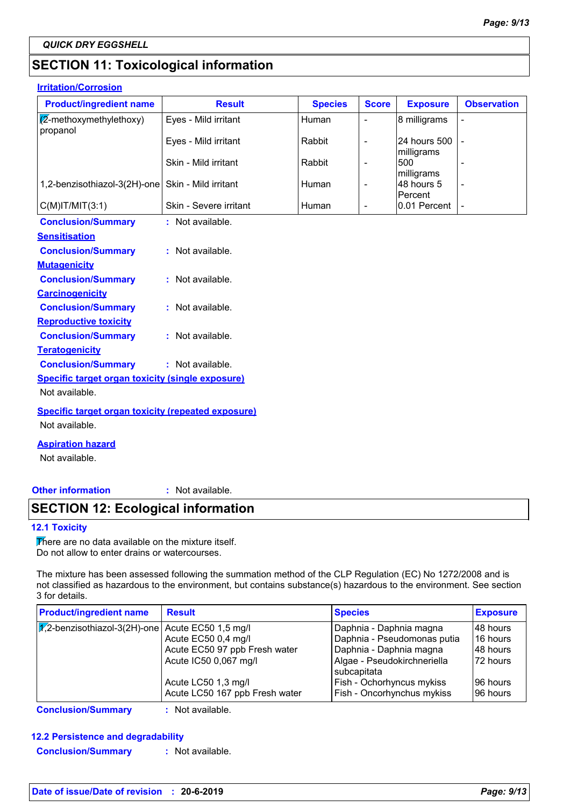# **SECTION 11: Toxicological information**

### **Irritation/Corrosion**

| <b>Product/ingredient name</b>                            | <b>Result</b>          | <b>Species</b> | <b>Score</b>             | <b>Exposure</b>            | <b>Observation</b> |
|-----------------------------------------------------------|------------------------|----------------|--------------------------|----------------------------|--------------------|
| (2-methoxymethylethoxy)<br>propanol                       | Eyes - Mild irritant   | Human          | $\overline{\phantom{a}}$ | 8 milligrams               |                    |
|                                                           | Eyes - Mild irritant   | Rabbit         | $\overline{\phantom{a}}$ | 24 hours 500<br>milligrams |                    |
|                                                           | Skin - Mild irritant   | Rabbit         | $\overline{\phantom{a}}$ | 500<br>milligrams          |                    |
| 1,2-benzisothiazol-3(2H)-one                              | Skin - Mild irritant   | Human          | $\overline{\phantom{a}}$ | 48 hours 5<br>Percent      |                    |
| $C(M)$ IT/MIT $(3:1)$                                     | Skin - Severe irritant | Human          | $\overline{\phantom{a}}$ | 0.01 Percent               |                    |
| <b>Conclusion/Summary</b>                                 | : Not available.       |                |                          |                            |                    |
| <b>Sensitisation</b>                                      |                        |                |                          |                            |                    |
| <b>Conclusion/Summary</b>                                 | : Not available.       |                |                          |                            |                    |
| <b>Mutagenicity</b>                                       |                        |                |                          |                            |                    |
| <b>Conclusion/Summary</b>                                 | : Not available.       |                |                          |                            |                    |
| <b>Carcinogenicity</b>                                    |                        |                |                          |                            |                    |
| <b>Conclusion/Summary</b>                                 | : Not available.       |                |                          |                            |                    |
| <b>Reproductive toxicity</b>                              |                        |                |                          |                            |                    |
| <b>Conclusion/Summary</b>                                 | : Not available.       |                |                          |                            |                    |
| <b>Teratogenicity</b>                                     |                        |                |                          |                            |                    |
| <b>Conclusion/Summary</b>                                 | : Not available.       |                |                          |                            |                    |
| <b>Specific target organ toxicity (single exposure)</b>   |                        |                |                          |                            |                    |
| Not available.                                            |                        |                |                          |                            |                    |
| <b>Specific target organ toxicity (repeated exposure)</b> |                        |                |                          |                            |                    |
| Not available.                                            |                        |                |                          |                            |                    |
| <b>Aspiration hazard</b>                                  |                        |                |                          |                            |                    |
|                                                           |                        |                |                          |                            |                    |

Not available.

### **Other information :**

: Not available.

# **SECTION 12: Ecological information**

### **12.1 Toxicity**

There are no data available on the mixture itself. Do not allow to enter drains or watercourses.

The mixture has been assessed following the summation method of the CLP Regulation (EC) No 1272/2008 and is not classified as hazardous to the environment, but contains substance(s) hazardous to the environment. See section 3 for details.

| <b>Product/ingredient name</b>                                 | <b>Result</b>                  | <b>Species</b>                             | <b>Exposure</b> |
|----------------------------------------------------------------|--------------------------------|--------------------------------------------|-----------------|
| $ \mathcal{K} $ 2-benzisothiazol-3(2H)-one Acute EC50 1,5 mg/l |                                | Daphnia - Daphnia magna                    | 48 hours        |
|                                                                | Acute EC50 0,4 mg/l            | Daphnia - Pseudomonas putia                | 16 hours        |
|                                                                | Acute EC50 97 ppb Fresh water  | Daphnia - Daphnia magna                    | 48 hours        |
|                                                                | Acute IC50 0,067 mg/l          | Algae - Pseudokirchneriella<br>subcapitata | 172 hours       |
|                                                                | Acute LC50 1,3 mg/l            | Fish - Ochorhyncus mykiss                  | 196 hours       |
|                                                                | Acute LC50 167 ppb Fresh water | Fish - Oncorhynchus mykiss                 | 196 hours       |

**Conclusion/Summary :** Not available.

# **12.2 Persistence and degradability**

**Conclusion/Summary :** Not available.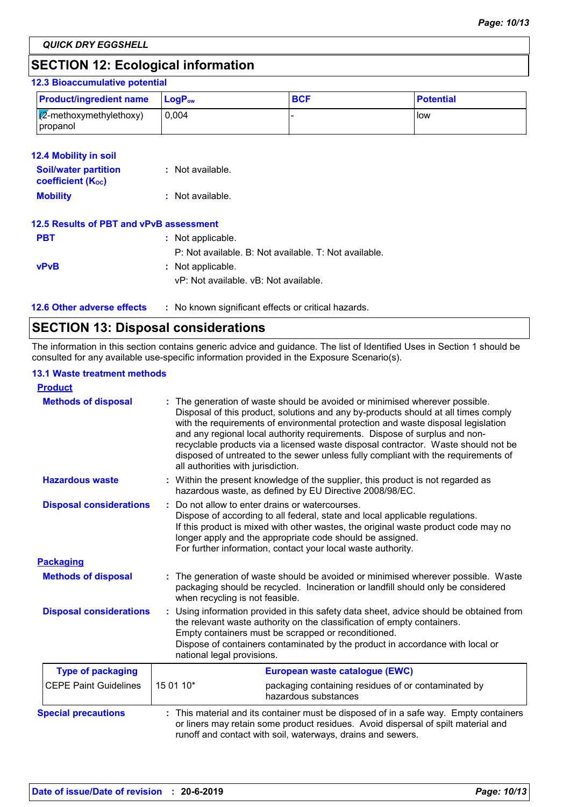# **SECTION 12: Ecological information**

### **12.3 Bioaccumulative potential**

| <b>Product/ingredient name</b>               | <b>LogP</b> <sub>ow</sub> | <b>BCF</b> | <b>Potential</b> |
|----------------------------------------------|---------------------------|------------|------------------|
| $\sqrt{2}$ -methoxymethylethoxy)<br>propanol | 0.004                     |            | <b>I</b> low     |

| <b>12.4 Mobility in soil</b><br><b>Soil/water partition</b> | $:$ Not available.                                    |
|-------------------------------------------------------------|-------------------------------------------------------|
| <b>coefficient (Koc)</b>                                    |                                                       |
| <b>Mobility</b>                                             | : Not available.                                      |
| 12.5 Results of PBT and vPvB assessment                     |                                                       |
| <b>PBT</b>                                                  | : Not applicable.                                     |
|                                                             | P: Not available. B: Not available. T: Not available. |
| <b>vPvB</b>                                                 | : Not applicable.                                     |
|                                                             | vP: Not available, vB: Not available.                 |

**12.6 Other adverse effects** : No known significant effects or critical hazards.

# **SECTION 13: Disposal considerations**

The information in this section contains generic advice and guidance. The list of Identified Uses in Section 1 should be consulted for any available use-specific information provided in the Exposure Scenario(s).

#### **13.1 Waste treatment methods**

| <b>Product</b>                 |           |                                                                                                                                                                                                                                                                                                                                                                                                                                                                                                                                                      |
|--------------------------------|-----------|------------------------------------------------------------------------------------------------------------------------------------------------------------------------------------------------------------------------------------------------------------------------------------------------------------------------------------------------------------------------------------------------------------------------------------------------------------------------------------------------------------------------------------------------------|
| <b>Methods of disposal</b>     |           | : The generation of waste should be avoided or minimised wherever possible.<br>Disposal of this product, solutions and any by-products should at all times comply<br>with the requirements of environmental protection and waste disposal legislation<br>and any regional local authority requirements. Dispose of surplus and non-<br>recyclable products via a licensed waste disposal contractor. Waste should not be<br>disposed of untreated to the sewer unless fully compliant with the requirements of<br>all authorities with jurisdiction. |
| <b>Hazardous waste</b>         |           | : Within the present knowledge of the supplier, this product is not regarded as<br>hazardous waste, as defined by EU Directive 2008/98/EC.                                                                                                                                                                                                                                                                                                                                                                                                           |
| <b>Disposal considerations</b> |           | Do not allow to enter drains or watercourses.<br>Dispose of according to all federal, state and local applicable regulations.<br>If this product is mixed with other wastes, the original waste product code may no<br>longer apply and the appropriate code should be assigned.<br>For further information, contact your local waste authority.                                                                                                                                                                                                     |
| <b>Packaging</b>               |           |                                                                                                                                                                                                                                                                                                                                                                                                                                                                                                                                                      |
| <b>Methods of disposal</b>     |           | The generation of waste should be avoided or minimised wherever possible. Waste<br>packaging should be recycled. Incineration or landfill should only be considered<br>when recycling is not feasible.                                                                                                                                                                                                                                                                                                                                               |
| <b>Disposal considerations</b> |           | Using information provided in this safety data sheet, advice should be obtained from<br>the relevant waste authority on the classification of empty containers.<br>Empty containers must be scrapped or reconditioned.<br>Dispose of containers contaminated by the product in accordance with local or<br>national legal provisions.                                                                                                                                                                                                                |
| <b>Type of packaging</b>       |           | European waste catalogue (EWC)                                                                                                                                                                                                                                                                                                                                                                                                                                                                                                                       |
| <b>CEPE Paint Guidelines</b>   | 15 01 10* | packaging containing residues of or contaminated by<br>hazardous substances                                                                                                                                                                                                                                                                                                                                                                                                                                                                          |
| <b>Special precautions</b>     |           | : This material and its container must be disposed of in a safe way. Empty containers<br>or liners may retain some product residues. Avoid dispersal of spilt material and<br>runoff and contact with soil, waterways, drains and sewers.                                                                                                                                                                                                                                                                                                            |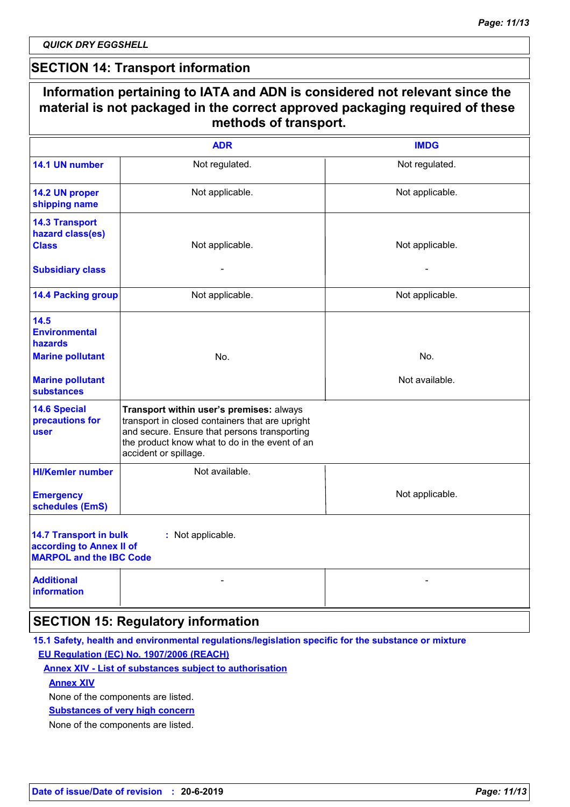*QUICK DRY EGGSHELL*

 $\Gamma$ 

# **SECTION 14: Transport information**

|                                                                                             | <b>ADR</b>                                                                                                                                                                                                             | <b>IMDG</b>     |
|---------------------------------------------------------------------------------------------|------------------------------------------------------------------------------------------------------------------------------------------------------------------------------------------------------------------------|-----------------|
| 14.1 UN number                                                                              | Not regulated.                                                                                                                                                                                                         | Not regulated.  |
| 14.2 UN proper<br>shipping name                                                             | Not applicable.                                                                                                                                                                                                        | Not applicable. |
| <b>14.3 Transport</b><br>hazard class(es)<br><b>Class</b>                                   | Not applicable.                                                                                                                                                                                                        | Not applicable. |
| <b>Subsidiary class</b>                                                                     |                                                                                                                                                                                                                        |                 |
| <b>14.4 Packing group</b>                                                                   | Not applicable.                                                                                                                                                                                                        | Not applicable. |
| 14.5<br><b>Environmental</b><br>hazards                                                     |                                                                                                                                                                                                                        |                 |
| <b>Marine pollutant</b>                                                                     | No.                                                                                                                                                                                                                    | No.             |
| <b>Marine pollutant</b><br><b>substances</b>                                                |                                                                                                                                                                                                                        | Not available.  |
| <b>14.6 Special</b><br>precautions for<br>user                                              | Transport within user's premises: always<br>transport in closed containers that are upright<br>and secure. Ensure that persons transporting<br>the product know what to do in the event of an<br>accident or spillage. |                 |
| <b>HI/Kemler number</b>                                                                     | Not available.                                                                                                                                                                                                         |                 |
| <b>Emergency</b><br>schedules (EmS)                                                         |                                                                                                                                                                                                                        | Not applicable. |
| <b>14.7 Transport in bulk</b><br>according to Annex II of<br><b>MARPOL and the IBC Code</b> | : Not applicable.                                                                                                                                                                                                      |                 |
| <b>Additional</b><br><b>information</b>                                                     |                                                                                                                                                                                                                        |                 |

### **15.1 Safety, health and environmental regulations/legislation specific for the substance or mixture EU Regulation (EC) No. 1907/2006 (REACH)**

### **Annex XIV - List of substances subject to authorisation**

### **Annex XIV**

None of the components are listed.

#### **Substances of very high concern**

None of the components are listed.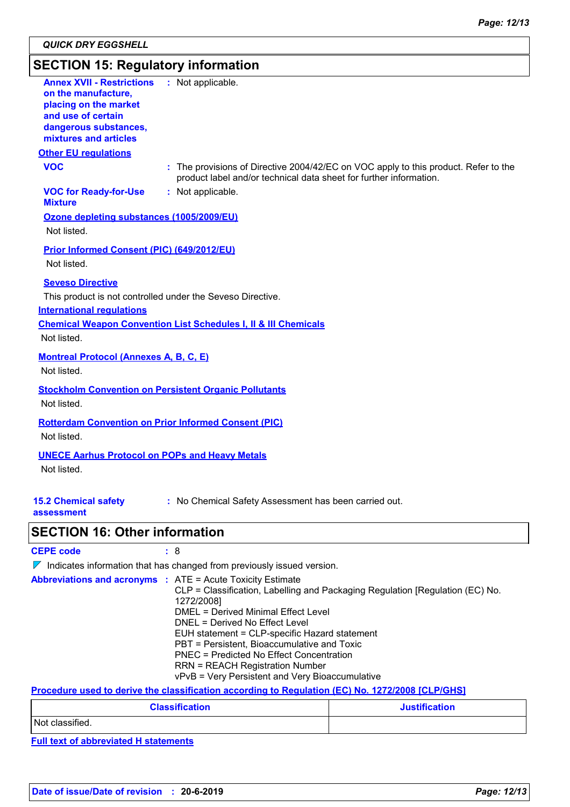# **SECTION 15: Regulatory information**

| <b>Annex XVII - Restrictions</b><br>on the manufacture,<br>placing on the market<br>and use of certain<br>dangerous substances,<br>mixtures and articles | : Not applicable.                                                                                                                                         |
|----------------------------------------------------------------------------------------------------------------------------------------------------------|-----------------------------------------------------------------------------------------------------------------------------------------------------------|
| <b>Other EU requlations</b>                                                                                                                              |                                                                                                                                                           |
| <b>VOC</b>                                                                                                                                               | : The provisions of Directive 2004/42/EC on VOC apply to this product. Refer to the<br>product label and/or technical data sheet for further information. |
| <b>VOC for Ready-for-Use</b><br><b>Mixture</b>                                                                                                           | : Not applicable.                                                                                                                                         |
| Ozone depleting substances (1005/2009/EU)<br>Not listed.                                                                                                 |                                                                                                                                                           |
| <b>Prior Informed Consent (PIC) (649/2012/EU)</b><br>Not listed.                                                                                         |                                                                                                                                                           |
| <b>Seveso Directive</b><br><b>International regulations</b><br>Not listed.                                                                               | This product is not controlled under the Seveso Directive.<br><b>Chemical Weapon Convention List Schedules I, II &amp; III Chemicals</b>                  |
| <b>Montreal Protocol (Annexes A, B, C, E)</b><br>Not listed.                                                                                             |                                                                                                                                                           |
| Not listed.                                                                                                                                              | <b>Stockholm Convention on Persistent Organic Pollutants</b>                                                                                              |
| Not listed.                                                                                                                                              | <b>Rotterdam Convention on Prior Informed Consent (PIC)</b>                                                                                               |
| <b>UNECE Aarhus Protocol on POPs and Heavy Metals</b><br>Not listed.                                                                                     |                                                                                                                                                           |
| <b>15.2 Chemical safety</b><br>assessment                                                                                                                | : No Chemical Safety Assessment has been carried out.                                                                                                     |

# **SECTION 16: Other information**

| <b>CEPE code</b> |  |
|------------------|--|
|------------------|--|

 $\nabla$  Indicates information that has changed from previously issued version.

| <b>Abbreviations and acronyms :</b> ATE = Acute Toxicity Estimate |  |                                                                               |
|-------------------------------------------------------------------|--|-------------------------------------------------------------------------------|
|                                                                   |  | CLP = Classification, Labelling and Packaging Regulation [Regulation (EC) No. |
|                                                                   |  | 1272/2008]                                                                    |
|                                                                   |  | DMEL = Derived Minimal Effect Level                                           |
|                                                                   |  | DNEL = Derived No Effect Level                                                |
|                                                                   |  | EUH statement = CLP-specific Hazard statement                                 |
|                                                                   |  | PBT = Persistent, Bioaccumulative and Toxic                                   |
|                                                                   |  | <b>PNEC = Predicted No Effect Concentration</b>                               |
|                                                                   |  | <b>RRN = REACH Registration Number</b>                                        |
|                                                                   |  | vPvB = Very Persistent and Very Bioaccumulative                               |

### **Procedure used to derive the classification according to Regulation (EC) No. 1272/2008 [CLP/GHS]**

| <b>Classification</b> | <b>Justification</b> |
|-----------------------|----------------------|
| Not classified.       |                      |

**Full text of abbreviated H statements**